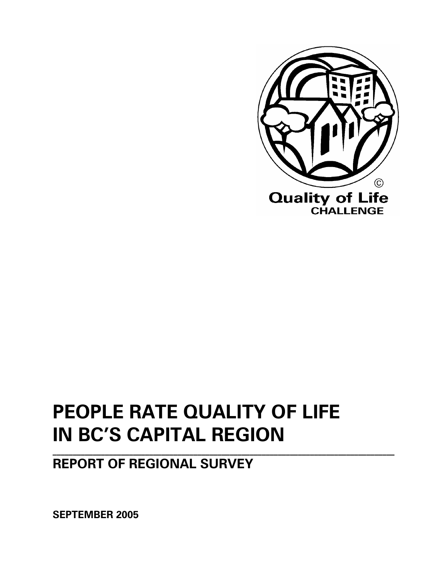

# **PEOPLE RATE QUALITY OF LIFE IN BC'S CAPITAL REGION**

**\_\_\_\_\_\_\_\_\_\_\_\_\_\_\_\_\_\_\_\_\_\_\_\_\_\_\_\_\_\_\_\_\_\_\_\_\_\_\_\_\_\_\_\_\_\_\_\_\_\_\_\_\_\_\_\_\_\_\_\_\_\_\_\_\_\_\_\_\_\_\_\_\_\_\_\_\_\_\_\_\_\_\_\_\_** 

# **REPORT OF REGIONAL SURVEY**

**SEPTEMBER 2005**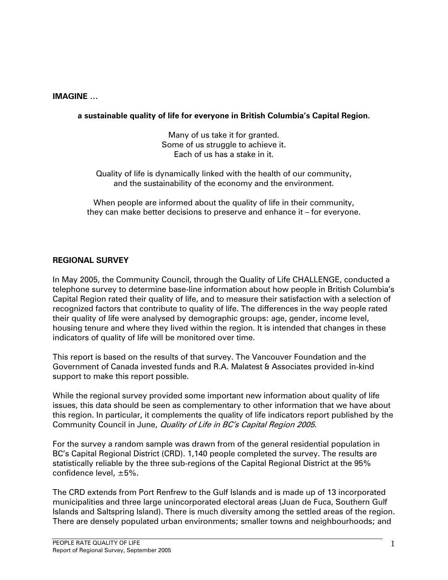#### **IMAGINE …**

#### **a sustainable quality of life for everyone in British Columbia's Capital Region.**

Many of us take it for granted. Some of us struggle to achieve it. Each of us has a stake in it.

Quality of life is dynamically linked with the health of our community, and the sustainability of the economy and the environment.

When people are informed about the quality of life in their community, they can make better decisions to preserve and enhance it – for everyone.

#### **REGIONAL SURVEY**

In May 2005, the Community Council, through the Quality of Life CHALLENGE, conducted a telephone survey to determine base-line information about how people in British Columbia's Capital Region rated their quality of life, and to measure their satisfaction with a selection of recognized factors that contribute to quality of life. The differences in the way people rated their quality of life were analysed by demographic groups: age, gender, income level, housing tenure and where they lived within the region. It is intended that changes in these indicators of quality of life will be monitored over time.

This report is based on the results of that survey. The Vancouver Foundation and the Government of Canada invested funds and R.A. Malatest & Associates provided in-kind support to make this report possible.

While the regional survey provided some important new information about quality of life issues, this data should be seen as complementary to other information that we have about this region. In particular, it complements the quality of life indicators report published by the Community Council in June, Quality of Life in BC's Capital Region 2005.

For the survey a random sample was drawn from of the general residential population in BC's Capital Regional District (CRD). 1,140 people completed the survey. The results are statistically reliable by the three sub-regions of the Capital Regional District at the 95% confidence level, ±5%.

The CRD extends from Port Renfrew to the Gulf Islands and is made up of 13 incorporated municipalities and three large unincorporated electoral areas (Juan de Fuca, Southern Gulf Islands and Saltspring Island). There is much diversity among the settled areas of the region. There are densely populated urban environments; smaller towns and neighbourhoods; and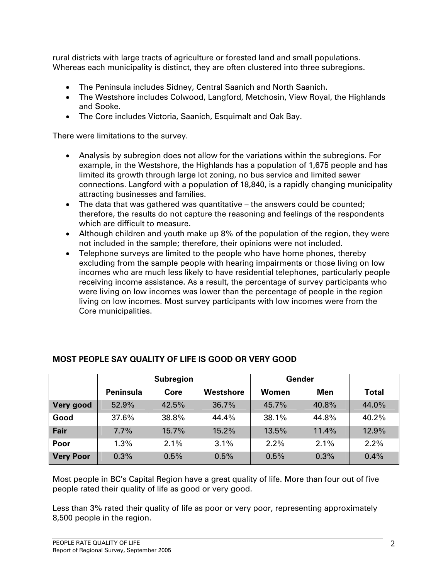rural districts with large tracts of agriculture or forested land and small populations. Whereas each municipality is distinct, they are often clustered into three subregions.

- The Peninsula includes Sidney, Central Saanich and North Saanich.
- The Westshore includes Colwood, Langford, Metchosin, View Royal, the Highlands and Sooke.
- The Core includes Victoria, Saanich, Esquimalt and Oak Bay.

There were limitations to the survey.

- Analysis by subregion does not allow for the variations within the subregions. For example, in the Westshore, the Highlands has a population of 1,675 people and has limited its growth through large lot zoning, no bus service and limited sewer connections. Langford with a population of 18,840, is a rapidly changing municipality attracting businesses and families.
- The data that was gathered was quantitative  $-$  the answers could be counted; therefore, the results do not capture the reasoning and feelings of the respondents which are difficult to measure.
- Although children and youth make up 8% of the population of the region, they were not included in the sample; therefore, their opinions were not included.
- Telephone surveys are limited to the people who have home phones, thereby excluding from the sample people with hearing impairments or those living on low incomes who are much less likely to have residential telephones, particularly people receiving income assistance. As a result, the percentage of survey participants who were living on low incomes was lower than the percentage of people in the region living on low incomes. Most survey participants with low incomes were from the Core municipalities.

|                  | <b>Subregion</b> |       |           | Gender |       |              |
|------------------|------------------|-------|-----------|--------|-------|--------------|
|                  | <b>Peninsula</b> | Core  | Westshore | Women  | Men   | <b>Total</b> |
| Very good        | 52.9%            | 42.5% | 36.7%     | 45.7%  | 40.8% | 44.0%        |
| Good             | 37.6%            | 38.8% | 44.4%     | 38.1%  | 44.8% | 40.2%        |
| Fair             | 7.7%             | 15.7% | 15.2%     | 13.5%  | 11.4% | 12.9%        |
| Poor             | 1.3%             | 2.1%  | 3.1%      | 2.2%   | 2.1%  | 2.2%         |
| <b>Very Poor</b> | 0.3%             | 0.5%  | 0.5%      | 0.5%   | 0.3%  | 0.4%         |

# **MOST PEOPLE SAY QUALITY OF LIFE IS GOOD OR VERY GOOD**

Most people in BC's Capital Region have a great quality of life. More than four out of five people rated their quality of life as good or very good.

Less than 3% rated their quality of life as poor or very poor, representing approximately 8,500 people in the region.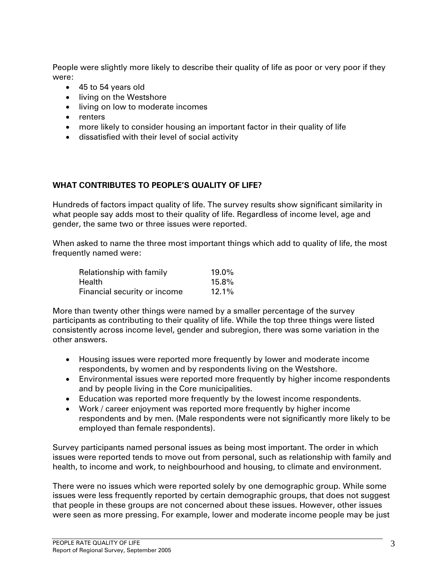People were slightly more likely to describe their quality of life as poor or very poor if they were:

- 45 to 54 years old
- living on the Westshore
- living on low to moderate incomes
- renters
- more likely to consider housing an important factor in their quality of life
- dissatisfied with their level of social activity

#### **WHAT CONTRIBUTES TO PEOPLE'S QUALITY OF LIFE?**

Hundreds of factors impact quality of life. The survey results show significant similarity in what people say adds most to their quality of life. Regardless of income level, age and gender, the same two or three issues were reported.

When asked to name the three most important things which add to quality of life, the most frequently named were:

| Relationship with family     | $19.0\%$ |
|------------------------------|----------|
| Health                       | 15.8%    |
| Financial security or income | $12.1\%$ |

More than twenty other things were named by a smaller percentage of the survey participants as contributing to their quality of life. While the top three things were listed consistently across income level, gender and subregion, there was some variation in the other answers.

- Housing issues were reported more frequently by lower and moderate income respondents, by women and by respondents living on the Westshore.
- Environmental issues were reported more frequently by higher income respondents and by people living in the Core municipalities.
- Education was reported more frequently by the lowest income respondents.
- Work / career enjoyment was reported more frequently by higher income respondents and by men. (Male respondents were not significantly more likely to be employed than female respondents).

Survey participants named personal issues as being most important. The order in which issues were reported tends to move out from personal, such as relationship with family and health, to income and work, to neighbourhood and housing, to climate and environment.

There were no issues which were reported solely by one demographic group. While some issues were less frequently reported by certain demographic groups, that does not suggest that people in these groups are not concerned about these issues. However, other issues were seen as more pressing. For example, lower and moderate income people may be just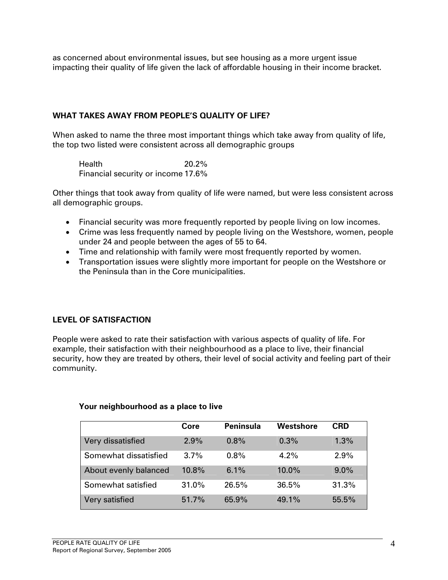as concerned about environmental issues, but see housing as a more urgent issue impacting their quality of life given the lack of affordable housing in their income bracket.

### **WHAT TAKES AWAY FROM PEOPLE'S QUALITY OF LIFE?**

When asked to name the three most important things which take away from quality of life, the top two listed were consistent across all demographic groups

Health 20.2% Financial security or income 17.6%

Other things that took away from quality of life were named, but were less consistent across all demographic groups.

- Financial security was more frequently reported by people living on low incomes.
- Crime was less frequently named by people living on the Westshore, women, people under 24 and people between the ages of 55 to 64.
- Time and relationship with family were most frequently reported by women.
- Transportation issues were slightly more important for people on the Westshore or the Peninsula than in the Core municipalities.

#### **LEVEL OF SATISFACTION**

People were asked to rate their satisfaction with various aspects of quality of life. For example, their satisfaction with their neighbourhood as a place to live, their financial security, how they are treated by others, their level of social activity and feeling part of their community.

#### **Your neighbourhood as a place to live**

|                       | Core    | <b>Peninsula</b> | Westshore | <b>CRD</b> |
|-----------------------|---------|------------------|-----------|------------|
| Very dissatisfied     | 2.9%    | 0.8%             | 0.3%      | 1.3%       |
| Somewhat dissatisfied | $3.7\%$ | $0.8\%$          | $4.2\%$   | 2.9%       |
| About evenly balanced | 10.8%   | 6.1%             | $10.0\%$  | $9.0\%$    |
| Somewhat satisfied    | 31.0%   | 26.5%            | 36.5%     | 31.3%      |
| Very satisfied        | 51.7%   | 65.9%            | 49.1%     | 55.5%      |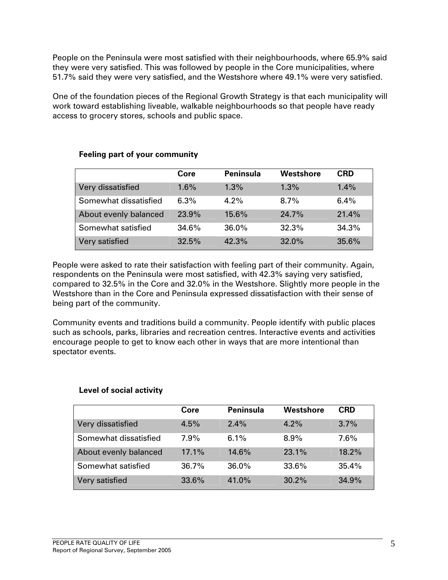People on the Peninsula were most satisfied with their neighbourhoods, where 65.9% said they were very satisfied. This was followed by people in the Core municipalities, where 51.7% said they were very satisfied, and the Westshore where 49.1% were very satisfied.

One of the foundation pieces of the Regional Growth Strategy is that each municipality will work toward establishing liveable, walkable neighbourhoods so that people have ready access to grocery stores, schools and public space.

|                       | Core  | <b>Peninsula</b> | Westshore | <b>CRD</b> |
|-----------------------|-------|------------------|-----------|------------|
| Very dissatisfied     | 1.6%  | $1.3\%$          | $1.3\%$   | $1.4\%$    |
| Somewhat dissatisfied | 6.3%  | $4.2\%$          | $8.7\%$   | $6.4\%$    |
| About evenly balanced | 23.9% | 15.6%            | 24.7%     | 21.4%      |
| Somewhat satisfied    | 34.6% | 36.0%            | 32.3%     | 34.3%      |
| Very satisfied        | 32.5% | 42.3%            | 32.0%     | 35.6%      |

# **Feeling part of your community**

People were asked to rate their satisfaction with feeling part of their community. Again, respondents on the Peninsula were most satisfied, with 42.3% saying very satisfied, compared to 32.5% in the Core and 32.0% in the Westshore. Slightly more people in the Westshore than in the Core and Peninsula expressed dissatisfaction with their sense of being part of the community.

Community events and traditions build a community. People identify with public places such as schools, parks, libraries and recreation centres. Interactive events and activities encourage people to get to know each other in ways that are more intentional than spectator events.

# **Level of social activity**

|                       | Core    | <b>Peninsula</b> | Westshore | <b>CRD</b> |
|-----------------------|---------|------------------|-----------|------------|
| Very dissatisfied     | 4.5%    | 2.4%             | 4.2%      | $3.7\%$    |
| Somewhat dissatisfied | $7.9\%$ | 6.1%             | 8.9%      | 7.6%       |
| About evenly balanced | 17.1%   | 14.6%            | 23.1%     | 18.2%      |
| Somewhat satisfied    | 36.7%   | $36.0\%$         | 33.6%     | 35.4%      |
| Very satisfied        | 33.6%   | 41.0%            | 30.2%     | 34.9%      |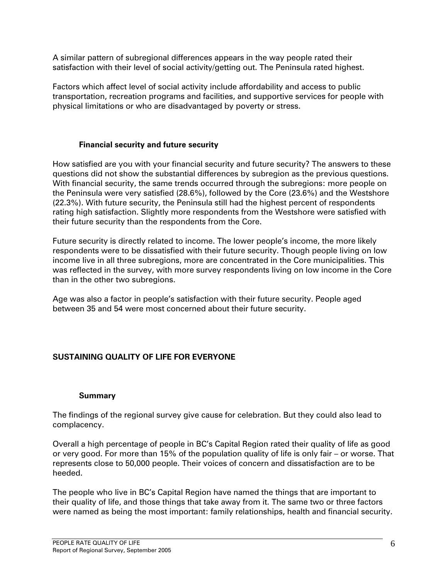A similar pattern of subregional differences appears in the way people rated their satisfaction with their level of social activity/getting out. The Peninsula rated highest.

Factors which affect level of social activity include affordability and access to public transportation, recreation programs and facilities, and supportive services for people with physical limitations or who are disadvantaged by poverty or stress.

#### **Financial security and future security**

How satisfied are you with your financial security and future security? The answers to these questions did not show the substantial differences by subregion as the previous questions. With financial security, the same trends occurred through the subregions: more people on the Peninsula were very satisfied (28.6%), followed by the Core (23.6%) and the Westshore (22.3%). With future security, the Peninsula still had the highest percent of respondents rating high satisfaction. Slightly more respondents from the Westshore were satisfied with their future security than the respondents from the Core.

Future security is directly related to income. The lower people's income, the more likely respondents were to be dissatisfied with their future security. Though people living on low income live in all three subregions, more are concentrated in the Core municipalities. This was reflected in the survey, with more survey respondents living on low income in the Core than in the other two subregions.

Age was also a factor in people's satisfaction with their future security. People aged between 35 and 54 were most concerned about their future security.

# **SUSTAINING QUALITY OF LIFE FOR EVERYONE**

#### **Summary**

The findings of the regional survey give cause for celebration. But they could also lead to complacency.

Overall a high percentage of people in BC's Capital Region rated their quality of life as good or very good. For more than 15% of the population quality of life is only fair – or worse. That represents close to 50,000 people. Their voices of concern and dissatisfaction are to be heeded.

The people who live in BC's Capital Region have named the things that are important to their quality of life, and those things that take away from it. The same two or three factors were named as being the most important: family relationships, health and financial security.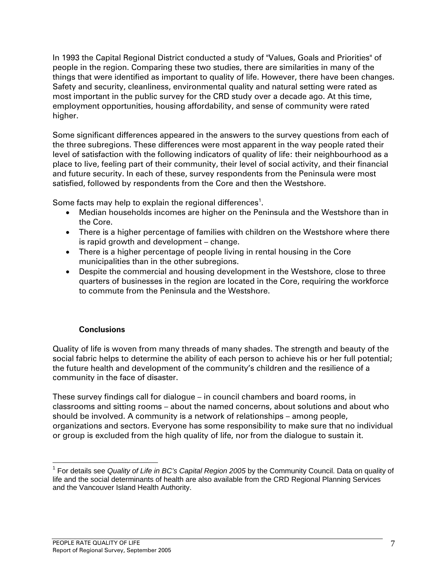In 1993 the Capital Regional District conducted a study of "Values, Goals and Priorities" of people in the region. Comparing these two studies, there are similarities in many of the things that were identified as important to quality of life. However, there have been changes. Safety and security, cleanliness, environmental quality and natural setting were rated as most important in the public survey for the CRD study over a decade ago. At this time, employment opportunities, housing affordability, and sense of community were rated higher.

Some significant differences appeared in the answers to the survey questions from each of the three subregions. These differences were most apparent in the way people rated their level of satisfaction with the following indicators of quality of life: their neighbourhood as a place to live, feeling part of their community, their level of social activity, and their financial and future security. In each of these, survey respondents from the Peninsula were most satisfied, followed by respondents from the Core and then the Westshore.

Some facts may help to explain the regional differences<sup>1</sup>.

- Median households incomes are higher on the Peninsula and the Westshore than in the Core.
- There is a higher percentage of families with children on the Westshore where there is rapid growth and development – change.
- There is a higher percentage of people living in rental housing in the Core municipalities than in the other subregions.
- Despite the commercial and housing development in the Westshore, close to three quarters of businesses in the region are located in the Core, requiring the workforce to commute from the Peninsula and the Westshore.

#### **Conclusions**

Quality of life is woven from many threads of many shades. The strength and beauty of the social fabric helps to determine the ability of each person to achieve his or her full potential; the future health and development of the community's children and the resilience of a community in the face of disaster.

These survey findings call for dialogue – in council chambers and board rooms, in classrooms and sitting rooms – about the named concerns, about solutions and about who should be involved. A community is a network of relationships – among people, organizations and sectors. Everyone has some responsibility to make sure that no individual or group is excluded from the high quality of life, nor from the dialogue to sustain it.

 $\overline{a}$ <sup>1</sup> For details see *Quality of Life in BC's Capital Region 2005* by the Community Council. Data on quality of life and the social determinants of health are also available from the CRD Regional Planning Services and the Vancouver Island Health Authority.